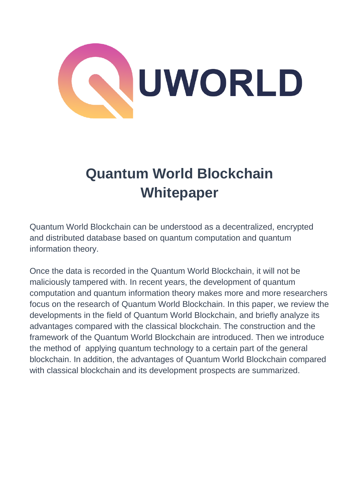

# **Quantum World Blockchain Whitepaper**

Quantum World Blockchain can be understood as a decentralized, encrypted and distributed database based on quantum computation and quantum information theory.

Once the data is recorded in the Quantum World Blockchain, it will not be maliciously tampered with. In recent years, the development of quantum computation and quantum information theory makes more and more researchers focus on the research of Quantum World Blockchain. In this paper, we review the developments in the field of Quantum World Blockchain, and briefly analyze its advantages compared with the classical blockchain. The construction and the framework of the Quantum World Blockchain are introduced. Then we introduce the method of applying quantum technology to a certain part of the general blockchain. In addition, the advantages of Quantum World Blockchain compared with classical blockchain and its development prospects are summarized.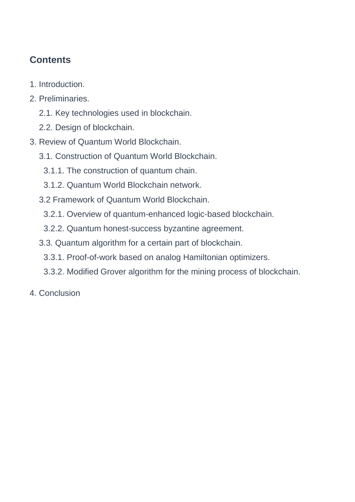# **Contents**

- 1. Introduction.
- 2. Preliminaries.
	- 2.1. Key technologies used in blockchain.
	- 2.2. Design of blockchain.
- 3. Review of Quantum World Blockchain.
	- 3.1. Construction of Quantum World Blockchain.
		- 3.1.1. The construction of quantum chain.
		- 3.1.2. Quantum World Blockchain network.
	- 3.2 Framework of Quantum World Blockchain.
		- 3.2.1. Overview of quantum-enhanced logic-based blockchain.
		- 3.2.2. Quantum honest-success byzantine agreement.
	- 3.3. Quantum algorithm for a certain part of blockchain.
		- 3.3.1. Proof-of-work based on analog Hamiltonian optimizers.
		- 3.3.2. Modified Grover algorithm for the mining process of blockchain.
- 4. Conclusion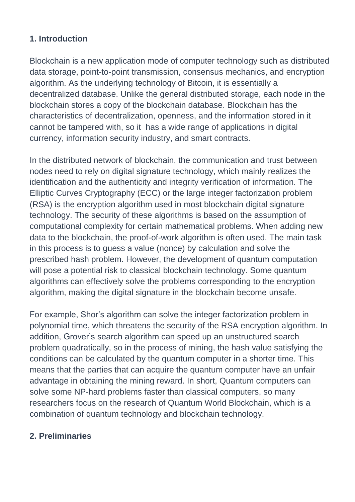#### **1. Introduction**

Blockchain is a new application mode of computer technology such as distributed data storage, point-to-point transmission, consensus mechanics, and encryption algorithm. As the underlying technology of Bitcoin, it is essentially a decentralized database. Unlike the general distributed storage, each node in the blockchain stores a copy of the blockchain database. Blockchain has the characteristics of decentralization, openness, and the information stored in it cannot be tampered with, so it has a wide range of applications in digital currency, information security industry, and smart contracts.

In the distributed network of blockchain, the communication and trust between nodes need to rely on digital signature technology, which mainly realizes the identification and the authenticity and integrity verification of information. The Elliptic Curves Cryptography (ECC) or the large integer factorization problem (RSA) is the encryption algorithm used in most blockchain digital signature technology. The security of these algorithms is based on the assumption of computational complexity for certain mathematical problems. When adding new data to the blockchain, the proof-of-work algorithm is often used. The main task in this process is to guess a value (nonce) by calculation and solve the prescribed hash problem. However, the development of quantum computation will pose a potential risk to classical blockchain technology. Some quantum algorithms can effectively solve the problems corresponding to the encryption algorithm, making the digital signature in the blockchain become unsafe.

For example, Shor's algorithm can solve the integer factorization problem in polynomial time, which threatens the security of the RSA encryption algorithm. In addition, Grover's search algorithm can speed up an unstructured search problem quadratically, so in the process of mining, the hash value satisfying the conditions can be calculated by the quantum computer in a shorter time. This means that the parties that can acquire the quantum computer have an unfair advantage in obtaining the mining reward. In short, Quantum computers can solve some NP-hard problems faster than classical computers, so many researchers focus on the research of Quantum World Blockchain, which is a combination of quantum technology and blockchain technology.

### **2. Preliminaries**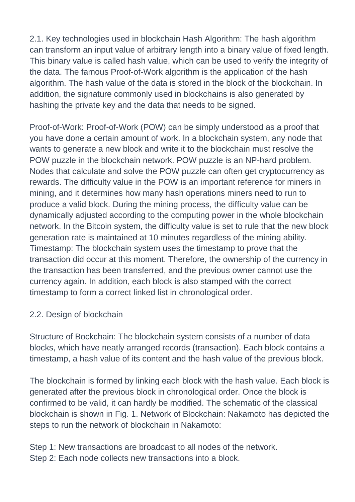2.1. Key technologies used in blockchain Hash Algorithm: The hash algorithm can transform an input value of arbitrary length into a binary value of fixed length. This binary value is called hash value, which can be used to verify the integrity of the data. The famous Proof-of-Work algorithm is the application of the hash algorithm. The hash value of the data is stored in the block of the blockchain. In addition, the signature commonly used in blockchains is also generated by hashing the private key and the data that needs to be signed.

Proof-of-Work: Proof-of-Work (POW) can be simply understood as a proof that you have done a certain amount of work. In a blockchain system, any node that wants to generate a new block and write it to the blockchain must resolve the POW puzzle in the blockchain network. POW puzzle is an NP-hard problem. Nodes that calculate and solve the POW puzzle can often get cryptocurrency as rewards. The difficulty value in the POW is an important reference for miners in mining, and it determines how many hash operations miners need to run to produce a valid block. During the mining process, the difficulty value can be dynamically adjusted according to the computing power in the whole blockchain network. In the Bitcoin system, the difficulty value is set to rule that the new block generation rate is maintained at 10 minutes regardless of the mining ability. Timestamp: The blockchain system uses the timestamp to prove that the transaction did occur at this moment. Therefore, the ownership of the currency in the transaction has been transferred, and the previous owner cannot use the currency again. In addition, each block is also stamped with the correct timestamp to form a correct linked list in chronological order.

#### 2.2. Design of blockchain

Structure of Bockchain: The blockchain system consists of a number of data blocks, which have neatly arranged records (transaction). Each block contains a timestamp, a hash value of its content and the hash value of the previous block.

The blockchain is formed by linking each block with the hash value. Each block is generated after the previous block in chronological order. Once the block is confirmed to be valid, it can hardly be modified. The schematic of the classical blockchain is shown in Fig. 1. Network of Blockchain: Nakamoto has depicted the steps to run the network of blockchain in Nakamoto:

Step 1: New transactions are broadcast to all nodes of the network. Step 2: Each node collects new transactions into a block.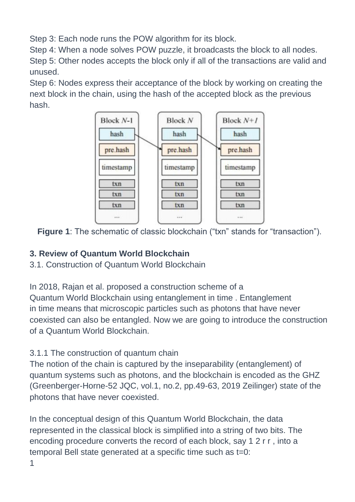Step 3: Each node runs the POW algorithm for its block.

Step 4: When a node solves POW puzzle, it broadcasts the block to all nodes. Step 5: Other nodes accepts the block only if all of the transactions are valid and unused.

Step 6: Nodes express their acceptance of the block by working on creating the next block in the chain, using the hash of the accepted block as the previous hash.



**Figure 1**: The schematic of classic blockchain ("txn" stands for "transaction").

# **3. Review of Quantum World Blockchain**

3.1. Construction of Quantum World Blockchain

In 2018, Rajan et al. proposed a construction scheme of a Quantum World Blockchain using entanglement in time . Entanglement in time means that microscopic particles such as photons that have never coexisted can also be entangled. Now we are going to introduce the construction of a Quantum World Blockchain.

3.1.1 The construction of quantum chain

The notion of the chain is captured by the inseparability (entanglement) of quantum systems such as photons, and the blockchain is encoded as the GHZ (Greenberger-Horne-52 JQC, vol.1, no.2, pp.49-63, 2019 Zeilinger) state of the photons that have never coexisted.

In the conceptual design of this Quantum World Blockchain, the data represented in the classical block is simplified into a string of two bits. The encoding procedure converts the record of each block, say 1 2 r r , into a temporal Bell state generated at a specific time such as t=0:

1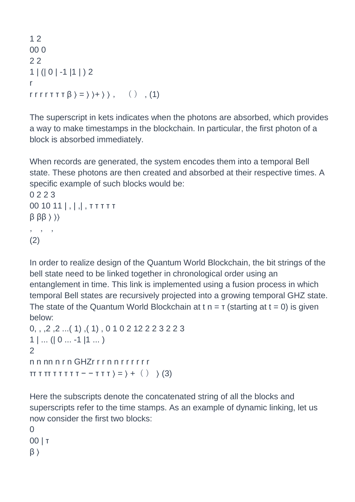```
1 2
00 0
2 2
1 | (| 0 | -1 |1 | ) 2
r
r r r r \tau \tau \tau \beta \rangle = \rangle \rangle + \rangle \rangle , ( ) , (1)
```
The superscript in kets indicates when the photons are absorbed, which provides a way to make timestamps in the blockchain. In particular, the first photon of a block is absorbed immediately.

When records are generated, the system encodes them into a temporal Bell state. These photons are then created and absorbed at their respective times. A specific example of such blocks would be:

```
0 2 2 3
00 10 11 | , | ,| , τ τ τ τ τ
\beta \beta\beta \rangle \rangle, \qquad, \qquad,(2)
```
In order to realize design of the Quantum World Blockchain, the bit strings of the bell state need to be linked together in chronological order using an entanglement in time. This link is implemented using a fusion process in which temporal Bell states are recursively projected into a growing temporal GHZ state. The state of the Quantum World Blockchain at t  $n = r$  (starting at  $t = 0$ ) is given below:

```
0, , ,2 ,2 ...( 1) ,( 1) , 0 1 0 2 12 2 2 3 2 2 3
1 | ... (0 ... -1 | 1 ...)\mathfrak{D}n n nn n r n GHZr r r n n r r r r r r
TT T T T T T T T T - - T T T > = > + ( ) > (3)
```
Here the subscripts denote the concatenated string of all the blocks and superscripts refer to the time stamps. As an example of dynamic linking, let us now consider the first two blocks:

 $\Omega$ 00 | τ  $\beta$   $\rangle$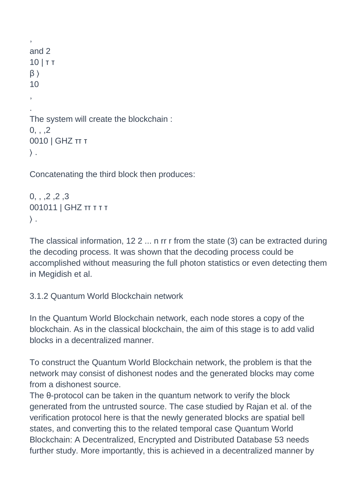```
,
and 2
10 | τ τ
\beta \rangle10
,
. 
The system will create the blockchain :
0, . .20010 | GHZ ττ τ
\rangle .
```
Concatenating the third block then produces:

```
0,, , , 2, , 2, , 3001011 | GHZ ττ τ τ τ
\rangle .
```
The classical information, 12 2 ... n rr r from the state (3) can be extracted during the decoding process. It was shown that the decoding process could be accomplished without measuring the full photon statistics or even detecting them in Megidish et al.

#### 3.1.2 Quantum World Blockchain network

In the Quantum World Blockchain network, each node stores a copy of the blockchain. As in the classical blockchain, the aim of this stage is to add valid blocks in a decentralized manner.

To construct the Quantum World Blockchain network, the problem is that the network may consist of dishonest nodes and the generated blocks may come from a dishonest source.

The θ-protocol can be taken in the quantum network to verify the block generated from the untrusted source. The case studied by Rajan et al. of the verification protocol here is that the newly generated blocks are spatial bell states, and converting this to the related temporal case Quantum World Blockchain: A Decentralized, Encrypted and Distributed Database 53 needs further study. More importantly, this is achieved in a decentralized manner by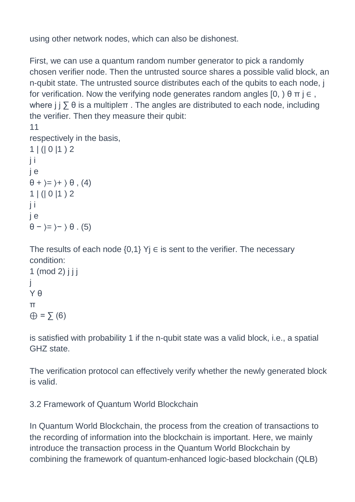using other network nodes, which can also be dishonest.

First, we can use a quantum random number generator to pick a randomly chosen verifier node. Then the untrusted source shares a possible valid block, an n-qubit state. The untrusted source distributes each of the qubits to each node, j for verification. Now the verifying node generates random angles  $[0, \cdot) \theta \pi \in \Theta$ , where  $j \in \mathcal{S}$  is a multiple $\pi$ . The angles are distributed to each node, including the verifier. Then they measure their qubit:

```
11
respectively in the basis,
1 | (| 0 | 1 ) 2j i
j e
\theta + \rangle = \rangle + \rangle \theta , (4)
1 | (| 0 | 1 ) 2j i
j e
\theta – \rangle = \rangle – \rangle \theta . (5)
```
The results of each node  $\{0,1\}$  Yj  $\in$  is sent to the verifier. The necessary condition:

```
1 \pmod{2} j j j
j
Y θ
π
\oplus = \sum (6)
```
is satisfied with probability 1 if the n-qubit state was a valid block, i.e., a spatial GHZ state.

The verification protocol can effectively verify whether the newly generated block is valid.

3.2 Framework of Quantum World Blockchain

In Quantum World Blockchain, the process from the creation of transactions to the recording of information into the blockchain is important. Here, we mainly introduce the transaction process in the Quantum World Blockchain by combining the framework of quantum-enhanced logic-based blockchain (QLB)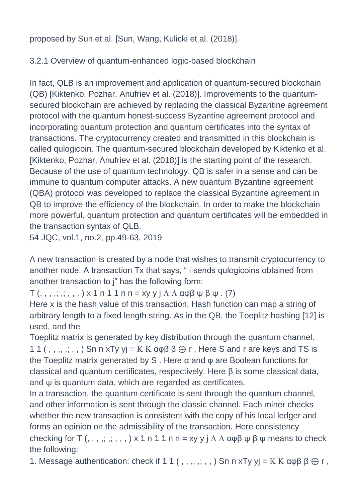proposed by Sun et al. [Sun, Wang, Kulicki et al. (2018)].

3.2.1 Overview of quantum-enhanced logic-based blockchain

In fact, QLB is an improvement and application of quantum-secured blockchain (QB) [Kiktenko, Pozhar, Anufriev et al. (2018)]. Improvements to the quantumsecured blockchain are achieved by replacing the classical Byzantine agreement protocol with the quantum honest-success Byzantine agreement protocol and incorporating quantum protection and quantum certificates into the syntax of transactions. The cryptocurrency created and transmitted in this blockchain is called qulogicoin. The quantum-secured blockchain developed by Kiktenko et al. [Kiktenko, Pozhar, Anufriev et al. (2018)] is the starting point of the research. Because of the use of quantum technology, QB is safer in a sense and can be immune to quantum computer attacks. A new quantum Byzantine agreement (QBA) protocol was developed to replace the classical Byzantine agreement in QB to improve the efficiency of the blockchain. In order to make the blockchain more powerful, quantum protection and quantum certificates will be embedded in the transaction syntax of QLB.

54 JQC, vol.1, no.2, pp.49-63, 2019

A new transaction is created by a node that wishes to transmit cryptocurrency to another node. A transaction Tx that says, " i sends qulogicoins obtained from another transaction to j" has the following form:

 $T$  (, , , , , , , , ) x 1 n 1 1 n n = xy y j  $\Lambda$   $\Lambda$   $\alpha \varphi \beta \psi$   $\beta \psi$  . (7)

Here x is the hash value of this transaction. Hash function can map a string of arbitrary length to a fixed length string. As in the QB, the Toeplitz hashing [12] is used, and the

Toeplitz matrix is generated by key distribution through the quantum channel. 1 1 (, , ,, ,; ,,) Sn n xTy yj =  $K K \alpha \varphi \beta \beta \bigoplus r$ , Here S and r are keys and TS is the Toeplitz matrix generated by S . Here α and φ are Boolean functions for classical and quantum certificates, respectively. Here β is some classical data, and ψ is quantum data, which are regarded as certificates.

In a transaction, the quantum certificate is sent through the quantum channel, and other information is sent through the classic channel. Each miner checks whether the new transaction is consistent with the copy of his local ledger and forms an opinion on the admissibility of the transaction. Here consistency checking for T  $($ , , , , , , , , , x 1 n 1 1 n n = xy y j  $\Lambda \Lambda$   $\alpha \varphi \beta \psi \beta \psi$  means to check the following:

1. Message authentication: check if 1 1 (,,,,,;,,) Sn n xTy yj =  $K K \alpha \varphi \beta \beta \bigoplus r$ ,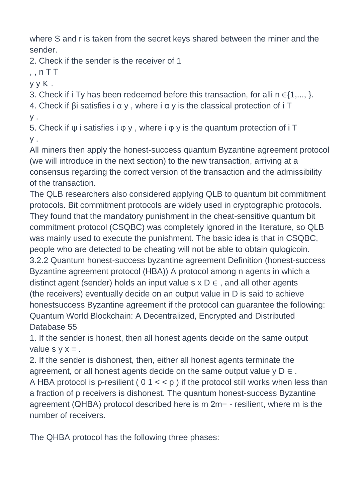where S and r is taken from the secret keys shared between the miner and the sender.

2. Check if the sender is the receiver of 1

 $, nT$  T

 $y y K$ .

3. Check if i Ty has been redeemed before this transaction, for alli n  $\in \{1,..., \}$ .

4. Check if βi satisfies i α y , where i α y is the classical protection of i T y .

5. Check if ψ i satisfies i φ y , where i φ y is the quantum protection of i T y .

All miners then apply the honest-success quantum Byzantine agreement protocol (we will introduce in the next section) to the new transaction, arriving at a consensus regarding the correct version of the transaction and the admissibility of the transaction.

The QLB researchers also considered applying QLB to quantum bit commitment protocols. Bit commitment protocols are widely used in cryptographic protocols. They found that the mandatory punishment in the cheat-sensitive quantum bit commitment protocol (CSQBC) was completely ignored in the literature, so QLB was mainly used to execute the punishment. The basic idea is that in CSQBC, people who are detected to be cheating will not be able to obtain qulogicoin. 3.2.2 Quantum honest-success byzantine agreement Definition (honest-success Byzantine agreement protocol (HBA)) A protocol among n agents in which a distinct agent (sender) holds an input value s  $x \ D \in A$ , and all other agents (the receivers) eventually decide on an output value in D is said to achieve honestsuccess Byzantine agreement if the protocol can guarantee the following: Quantum World Blockchain: A Decentralized, Encrypted and Distributed Database 55

1. If the sender is honest, then all honest agents decide on the same output value  $s \vee x =$ .

2. If the sender is dishonest, then, either all honest agents terminate the agreement, or all honest agents decide on the same output value  $y \nabla \in E$ . A HBA protocol is p-resilient ( $01 < p$ ) if the protocol still works when less than a fraction of p receivers is dishonest. The quantum honest-success Byzantine agreement (QHBA) protocol described here is m 2m− - resilient, where m is the number of receivers.

The QHBA protocol has the following three phases: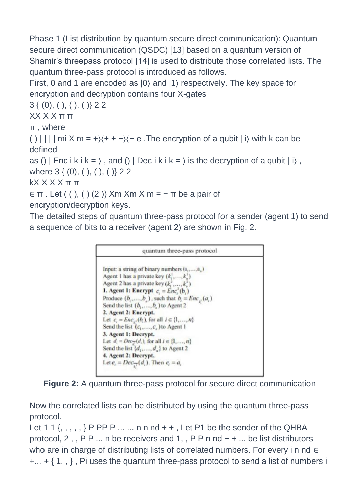Phase 1 (List distribution by quantum secure direct communication): Quantum secure direct communication (QSDC) [13] based on a quantum version of Shamir's threepass protocol [14] is used to distribute those correlated lists. The quantum three-pass protocol is introduced as follows.

First, 0 and 1 are encoded as |0〉 and |1〉 respectively. The key space for encryption and decryption contains four X-gates

3 { (0), ( ), ( ), ( )} 2 2

XX X X π π

π , where

() | | | | mi X m = + $\left(\frac{+}{+}\right)$  $\left(-e$ . The encryption of a qubit | i with k can be defined

```
as () | Enc i k i k = \rangle, and () | Dec i k i k = \rangle is the decryption of a qubit | i\rangle,
```
where 3 { (0), ( ), ( ), ( )} 2 2

kX X X X π π

 $\in$  π . Let ((), ()(2)) Xm Xm X m = - π be a pair of

encryption/decryption keys.

The detailed steps of quantum three-pass protocol for a sender (agent 1) to send a sequence of bits to a receiver (agent 2) are shown in Fig. 2.





Now the correlated lists can be distributed by using the quantum three-pass protocol.

Let 1 1  $\{$ , , , ,  $\}$  P PP P ... ... n n nd + +, Let P1 be the sender of the QHBA protocol,  $2$ ,  $P P$  ... n be receivers and 1,  $P P n n d + + ...$  be list distributors who are in charge of distributing lists of correlated numbers. For every i n nd  $\in$  $+...$  +  $\{1, \}$ , Pi uses the quantum three-pass protocol to send a list of numbers i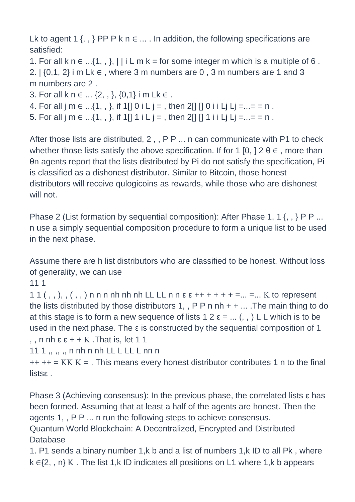Lk to agent 1  $\{ , , \}$  PP P k n  $\in ...$  . In addition, the following specifications are satisfied:

- 1. For all k  $n \in \ldots$  {1, , }, | | i L m k = for some integer m which is a multiple of 6.
- 2.  $\{0,1,2\}$  i m Lk  $\in$ , where 3 m numbers are 0, 3 m numbers are 1 and 3 m numbers are 2 .
- 3. For all k  $n \in ... \{2, , \}$ ,  $\{0,1\}$  i m Lk  $\in .$
- 4. For all j m  $\in$  ...{1,,, }, if 1[] 0 i L j =, then 2[] [] 0 i i Lj Lj = ... = = n.
- 5. For all j m  $\in$  ...{1,,,}, if 1[] 1 i L j =, then 2[] [] 1 i i Lj Lj = ... = = n.

After those lists are distributed, 2,, P P ... n can communicate with P1 to check whether those lists satisfy the above specification. If for 1 [0, ]  $2 \theta \in I$ , more than θn agents report that the lists distributed by Pi do not satisfy the specification, Pi is classified as a dishonest distributor. Similar to Bitcoin, those honest distributors will receive qulogicoins as rewards, while those who are dishonest will not.

Phase 2 (List formation by sequential composition): After Phase 1, 1 {, , } P P ... n use a simply sequential composition procedure to form a unique list to be used in the next phase.

Assume there are h list distributors who are classified to be honest. Without loss of generality, we can use

11 1

1 1  $($ , ,  $)$ ,  $($ ,  $)$  n n n n n n n n h n L L L n n  $\varepsilon$   $\varepsilon$  + + + + + + = ... = ... K to represent the lists distributed by those distributors 1, , P P n nh + + ... . The main thing to do at this stage is to form a new sequence of lists 1  $2 \varepsilon = ...$  (, , ) L L which is to be used in the next phase. The ε is constructed by the sequential composition of 1 , , n nh  $\varepsilon \varepsilon$  + + K . That is, let 1 1

11 1 ,, ,, ,, n nh n nh LL L LL L nn n

 $++++=$  KK K = . This means every honest distributor contributes 1 n to the final listsε .

Phase 3 (Achieving consensus): In the previous phase, the correlated lists ε has been formed. Assuming that at least a half of the agents are honest. Then the agents 1, , P P ... n run the following steps to achieve consensus.

Quantum World Blockchain: A Decentralized, Encrypted and Distributed Database

1. P1 sends a binary number 1,k b and a list of numbers 1,k ID to all Pk , where  $k \in \{2, n\}$  K. The list 1,k ID indicates all positions on L1 where 1,k b appears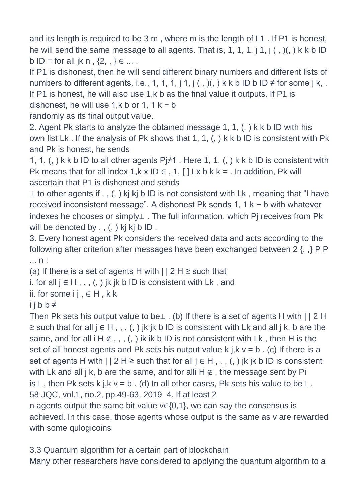and its length is required to be 3 m , where m is the length of L1 . If P1 is honest, he will send the same message to all agents. That is, 1, 1, 1, j 1, j  $($ ,  $)($ ,  $)$  k k b ID b ID = for all jk n,  $\{2, ,\} \in ...$ .

If P1 is dishonest, then he will send different binary numbers and different lists of numbers to different agents, i.e., 1, 1, 1, j 1, j (, )(, ) k k b ID b ID  $\neq$  for some j k, . If P1 is honest, he will also use 1,k b as the final value it outputs. If P1 is dishonest, he will use 1,k b or 1, 1 k – b

randomly as its final output value.

2. Agent Pk starts to analyze the obtained message 1, 1, (, ) k k b ID with his own list Lk . If the analysis of Pk shows that 1, 1, (, ) k k b ID is consistent with Pk and Pk is honest, he sends

1, 1, (, ) k k b ID to all other agents  $Pi \neq 1$ . Here 1, 1, (, ) k k b ID is consistent with Pk means that for all index 1,k x ID  $\in$  , 1, [ ] Lx b k k = . In addition, Pk will ascertain that P1 is dishonest and sends

⊥ to other agents if , , (, ) kj kj b ID is not consistent with Lk , meaning that "I have received inconsistent message". A dishonest Pk sends 1, 1 k − b with whatever indexes he chooses or simply⊥ . The full information, which Pj receives from Pk will be denoted by,, (, ) kj kj b ID.

3. Every honest agent Pk considers the received data and acts according to the following after criterion after messages have been exchanged between 2 {, ,} P P ... n :

(a) If there is a set of agents H with  $|$  | 2 H  $\geq$  such that

```
i. for all j ∈ H,,,,\langle, \rangle jk jk b ID is consistent with Lk, and
```
ii. for some i j,  $\in$  H, k k

 $i$  j b b  $\neq$ 

Then Pk sets his output value to be⊥ . (b) If there is a set of agents H with | | 2 H ≥ such that for all  $j \in H$ ,,,  $(j)$  jk jk b ID is consistent with Lk and all j k, b are the same, and for all  $i \not\in I$ , ,,  $(i)$  ik ik b ID is not consistent with Lk, then H is the set of all honest agents and Pk sets his output value k j,  $k v = b$ . (c) If there is a set of agents H with  $||2H \geq$  such that for all  $j \in H$ ,,,  $(j)$  ik ik b ID is consistent with Lk and all j k, b are the same, and for alli H  $\notin$ , the message sent by Pi is⊥, then Pk sets k j,k  $v = b$ . (d) In all other cases, Pk sets his value to be⊥. 58 JQC, vol.1, no.2, pp.49-63, 2019 4. If at least 2

n agents output the same bit value v∈{0,1}, we can say the consensus is achieved. In this case, those agents whose output is the same as v are rewarded with some qulogicoins

3.3 Quantum algorithm for a certain part of blockchain Many other researchers have considered to applying the quantum algorithm to a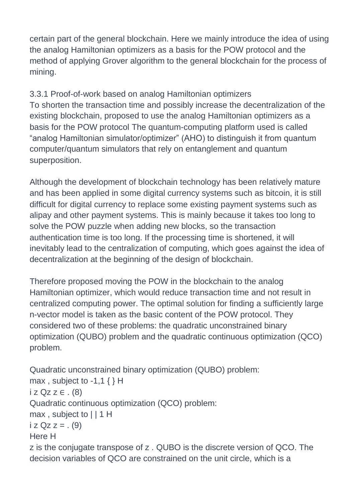certain part of the general blockchain. Here we mainly introduce the idea of using the analog Hamiltonian optimizers as a basis for the POW protocol and the method of applying Grover algorithm to the general blockchain for the process of mining.

3.3.1 Proof-of-work based on analog Hamiltonian optimizers To shorten the transaction time and possibly increase the decentralization of the existing blockchain, proposed to use the analog Hamiltonian optimizers as a basis for the POW protocol The quantum-computing platform used is called "analog Hamiltonian simulator/optimizer" (AHO) to distinguish it from quantum computer/quantum simulators that rely on entanglement and quantum superposition.

Although the development of blockchain technology has been relatively mature and has been applied in some digital currency systems such as bitcoin, it is still difficult for digital currency to replace some existing payment systems such as alipay and other payment systems. This is mainly because it takes too long to solve the POW puzzle when adding new blocks, so the transaction authentication time is too long. If the processing time is shortened, it will inevitably lead to the centralization of computing, which goes against the idea of decentralization at the beginning of the design of blockchain.

Therefore proposed moving the POW in the blockchain to the analog Hamiltonian optimizer, which would reduce transaction time and not result in centralized computing power. The optimal solution for finding a sufficiently large n-vector model is taken as the basic content of the POW protocol. They considered two of these problems: the quadratic unconstrained binary optimization (QUBO) problem and the quadratic continuous optimization (QCO) problem.

Quadratic unconstrained binary optimization (QUBO) problem: max, subject to  $-1,1 \}$  H  $iz$  Qz z  $\in$  . (8) Quadratic continuous optimization (QCO) problem: max, subject to  $|| 1 H$  $i$  z Qz z = . (9) Here H z is the conjugate transpose of z . QUBO is the discrete version of QCO. The decision variables of QCO are constrained on the unit circle, which is a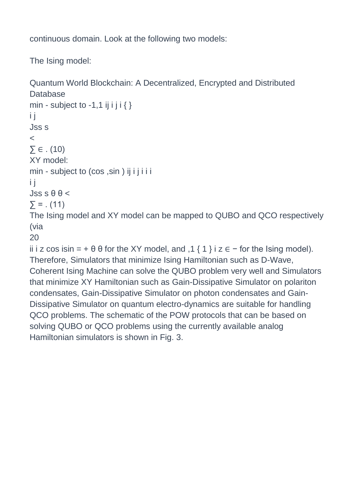continuous domain. Look at the following two models:

The Ising model:

```
Quantum World Blockchain: A Decentralized, Encrypted and Distributed 
Database
min - subject to -1,1 ij i j i \}i j
Jss s
\prec\Sigma \in . (10)
XY model:
min - subject to (cos , sin ) ij i j i i i
i j
Jss s \theta \theta <
\sum = . (11)
The Ising model and XY model can be mapped to QUBO and QCO respectively 
(via
20
ii i z cos isin = + \theta \theta for the XY model, and ,1 { 1 } i z \epsilon - for the Ising model).
Therefore, Simulators that minimize Ising Hamiltonian such as D-Wave, 
Coherent Ising Machine can solve the QUBO problem very well and Simulators 
that minimize XY Hamiltonian such as Gain-Dissipative Simulator on polariton
```
condensates, Gain-Dissipative Simulator on photon condensates and Gain-Dissipative Simulator on quantum electro-dynamics are suitable for handling QCO problems. The schematic of the POW protocols that can be based on solving QUBO or QCO problems using the currently available analog Hamiltonian simulators is shown in Fig. 3.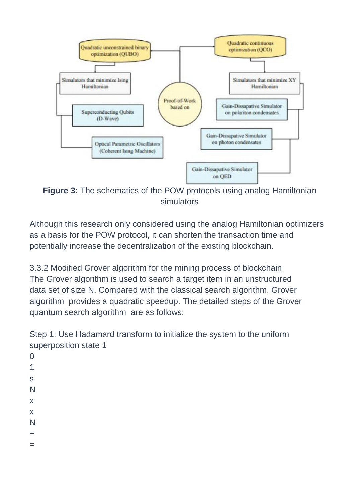

**Figure 3:** The schematics of the POW protocols using analog Hamiltonian simulators

Although this research only considered using the analog Hamiltonian optimizers as a basis for the POW protocol, it can shorten the transaction time and potentially increase the decentralization of the existing blockchain.

3.3.2 Modified Grover algorithm for the mining process of blockchain The Grover algorithm is used to search a target item in an unstructured data set of size N. Compared with the classical search algorithm, Grover algorithm provides a quadratic speedup. The detailed steps of the Grover quantum search algorithm are as follows:

Step 1: Use Hadamard transform to initialize the system to the uniform superposition state 1

 $\Omega$ 1 s N x x N − =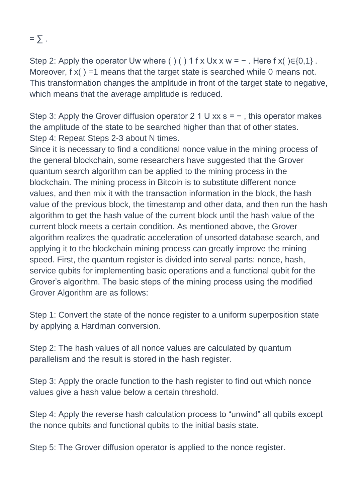$=$   $\sum$ .

Step 2: Apply the operator Uw where ( ) ( ) 1 f x Ux x w =  $-$  . Here f x( ) $\in$ {0,1}. Moreover,  $f(x) = 1$  means that the target state is searched while 0 means not. This transformation changes the amplitude in front of the target state to negative, which means that the average amplitude is reduced.

Step 3: Apply the Grover diffusion operator 2 1 U xx s =  $-$ , this operator makes the amplitude of the state to be searched higher than that of other states. Step 4: Repeat Steps 2-3 about N times.

Since it is necessary to find a conditional nonce value in the mining process of the general blockchain, some researchers have suggested that the Grover quantum search algorithm can be applied to the mining process in the blockchain. The mining process in Bitcoin is to substitute different nonce values, and then mix it with the transaction information in the block, the hash value of the previous block, the timestamp and other data, and then run the hash algorithm to get the hash value of the current block until the hash value of the current block meets a certain condition. As mentioned above, the Grover algorithm realizes the quadratic acceleration of unsorted database search, and applying it to the blockchain mining process can greatly improve the mining speed. First, the quantum register is divided into serval parts: nonce, hash, service qubits for implementing basic operations and a functional qubit for the Grover's algorithm. The basic steps of the mining process using the modified Grover Algorithm are as follows:

Step 1: Convert the state of the nonce register to a uniform superposition state by applying a Hardman conversion.

Step 2: The hash values of all nonce values are calculated by quantum parallelism and the result is stored in the hash register.

Step 3: Apply the oracle function to the hash register to find out which nonce values give a hash value below a certain threshold.

Step 4: Apply the reverse hash calculation process to "unwind" all qubits except the nonce qubits and functional qubits to the initial basis state.

Step 5: The Grover diffusion operator is applied to the nonce register.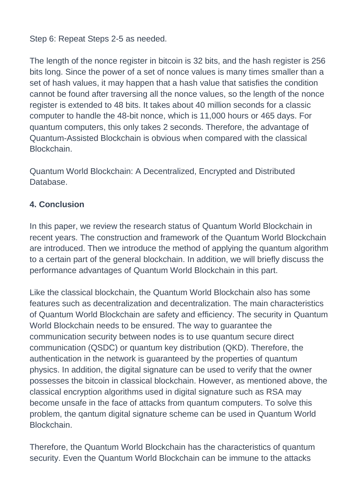Step 6: Repeat Steps 2-5 as needed.

The length of the nonce register in bitcoin is 32 bits, and the hash register is 256 bits long. Since the power of a set of nonce values is many times smaller than a set of hash values, it may happen that a hash value that satisfies the condition cannot be found after traversing all the nonce values, so the length of the nonce register is extended to 48 bits. It takes about 40 million seconds for a classic computer to handle the 48-bit nonce, which is 11,000 hours or 465 days. For quantum computers, this only takes 2 seconds. Therefore, the advantage of Quantum-Assisted Blockchain is obvious when compared with the classical Blockchain.

Quantum World Blockchain: A Decentralized, Encrypted and Distributed Database.

## **4. Conclusion**

In this paper, we review the research status of Quantum World Blockchain in recent years. The construction and framework of the Quantum World Blockchain are introduced. Then we introduce the method of applying the quantum algorithm to a certain part of the general blockchain. In addition, we will briefly discuss the performance advantages of Quantum World Blockchain in this part.

Like the classical blockchain, the Quantum World Blockchain also has some features such as decentralization and decentralization. The main characteristics of Quantum World Blockchain are safety and efficiency. The security in Quantum World Blockchain needs to be ensured. The way to guarantee the communication security between nodes is to use quantum secure direct communication (QSDC) or quantum key distribution (QKD). Therefore, the authentication in the network is guaranteed by the properties of quantum physics. In addition, the digital signature can be used to verify that the owner possesses the bitcoin in classical blockchain. However, as mentioned above, the classical encryption algorithms used in digital signature such as RSA may become unsafe in the face of attacks from quantum computers. To solve this problem, the qantum digital signature scheme can be used in Quantum World **Blockchain** 

Therefore, the Quantum World Blockchain has the characteristics of quantum security. Even the Quantum World Blockchain can be immune to the attacks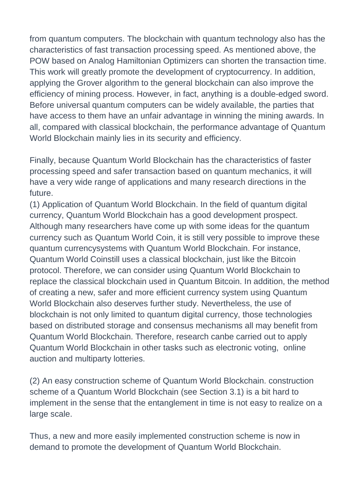from quantum computers. The blockchain with quantum technology also has the characteristics of fast transaction processing speed. As mentioned above, the POW based on Analog Hamiltonian Optimizers can shorten the transaction time. This work will greatly promote the development of cryptocurrency. In addition, applying the Grover algorithm to the general blockchain can also improve the efficiency of mining process. However, in fact, anything is a double-edged sword. Before universal quantum computers can be widely available, the parties that have access to them have an unfair advantage in winning the mining awards. In all, compared with classical blockchain, the performance advantage of Quantum World Blockchain mainly lies in its security and efficiency.

Finally, because Quantum World Blockchain has the characteristics of faster processing speed and safer transaction based on quantum mechanics, it will have a very wide range of applications and many research directions in the future.

(1) Application of Quantum World Blockchain. In the field of quantum digital currency, Quantum World Blockchain has a good development prospect. Although many researchers have come up with some ideas for the quantum currency such as Quantum World Coin, it is still very possible to improve these quantum currencysystems with Quantum World Blockchain. For instance, Quantum World Coinstill uses a classical blockchain, just like the Bitcoin protocol. Therefore, we can consider using Quantum World Blockchain to replace the classical blockchain used in Quantum Bitcoin. In addition, the method of creating a new, safer and more efficient currency system using Quantum World Blockchain also deserves further study. Nevertheless, the use of blockchain is not only limited to quantum digital currency, those technologies based on distributed storage and consensus mechanisms all may benefit from Quantum World Blockchain. Therefore, research canbe carried out to apply Quantum World Blockchain in other tasks such as electronic voting, online auction and multiparty lotteries.

(2) An easy construction scheme of Quantum World Blockchain. construction scheme of a Quantum World Blockchain (see Section 3.1) is a bit hard to implement in the sense that the entanglement in time is not easy to realize on a large scale.

Thus, a new and more easily implemented construction scheme is now in demand to promote the development of Quantum World Blockchain.